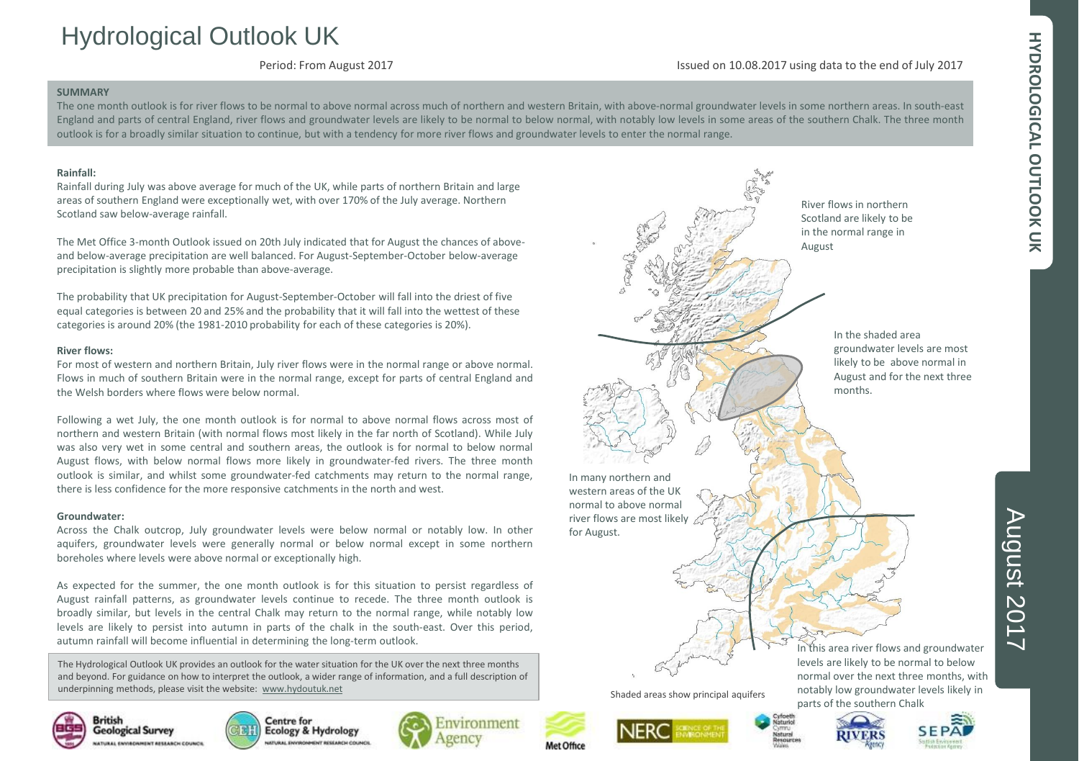# HYDROLOGICAL OUTLOOK UK **HYDROLOGICAL OUTLOOK UK**

# Hydrological Outlook UK

Period: From August 2017

#### Issued on 10.08.2017 using data to the end of July 2017

#### **SUMMARY**

The one month outlook is for river flows to be normal to above normal across much of northern and western Britain, with above-normal groundwater levels in some northern areas. In south-east England and parts of central England, river flows and groundwater levels are likely to be normal to below normal, with notably low levels in some areas of the southern Chalk. The three month outlook is for a broadly similar situation to continue, but with a tendency for more river flows and groundwater levels to enter the normal range.

### **Rainfall:**

Rainfall during July was above average for much of the UK, while parts of northern Britain and large areas of southern England were exceptionally wet, with over 170% of the July average. Northern Scotland saw below-average rainfall.

The Met Office 3-month Outlook issued on 20th July indicated that for August the chances of aboveand below-average precipitation are well balanced. For August-September-October below-average precipitation is slightly more probable than above-average.

The probability that UK precipitation for August-September-October will fall into the driest of five equal categories is between 20 and 25% and the probability that it will fall into the wettest of these categories is around 20% (the 1981-2010 probability for each of these categories is 20%).

#### **River flows:**

For most of western and northern Britain, July river flows were in the normal range or above normal. Flows in much of southern Britain were in the normal range, except for parts of central England and the Welsh borders where flows were below normal.

Following a wet July, the one month outlook is for normal to above normal flows across most of northern and western Britain (with normal flows most likely in the far north of Scotland). While July was also very wet in some central and southern areas, the outlook is for normal to below normal August flows, with below normal flows more likely in groundwater-fed rivers. The three month outlook is similar, and whilst some groundwater-fed catchments may return to the normal range, there is less confidence for the more responsive catchments in the north and west.

#### **Groundwater:**

Across the Chalk outcrop, July groundwater levels were below normal or notably low. In other aquifers, groundwater levels were generally normal or below normal except in some northern boreholes where levels were above normal or exceptionally high.

As expected for the summer, the one month outlook is for this situation to persist regardless of August rainfall patterns, as groundwater levels continue to recede. The three month outlook is broadly similar, but levels in the central Chalk may return to the normal range, while notably low levels are likely to persist into autumn in parts of the chalk in the south-east. Over this period, autumn rainfall will become influential in determining the long-term outlook.

The Hydrological Outlook UK provides an outlook for the water situation for the UK over the next three months and beyond. For guidance on how to interpret the outlook, a wider range of information, and a full description of underpinning methods, please visit the website: [www.hydoutuk.net](http://www.hydoutuk.net/)











River flows in northern Scotland are likely to be in the normal range in August

> In the shaded area groundwater levels are most likely to be above normal in August and for the next three months.

In many northern and western areas of the UK normal to above normal river flows are most likely for August.

Shaded areas show principal aquifers





In this area river flows and groundwater levels are likely to be normal to below

normal over the next three months, with notably low groundwater levels likely in parts of the southern Chalk